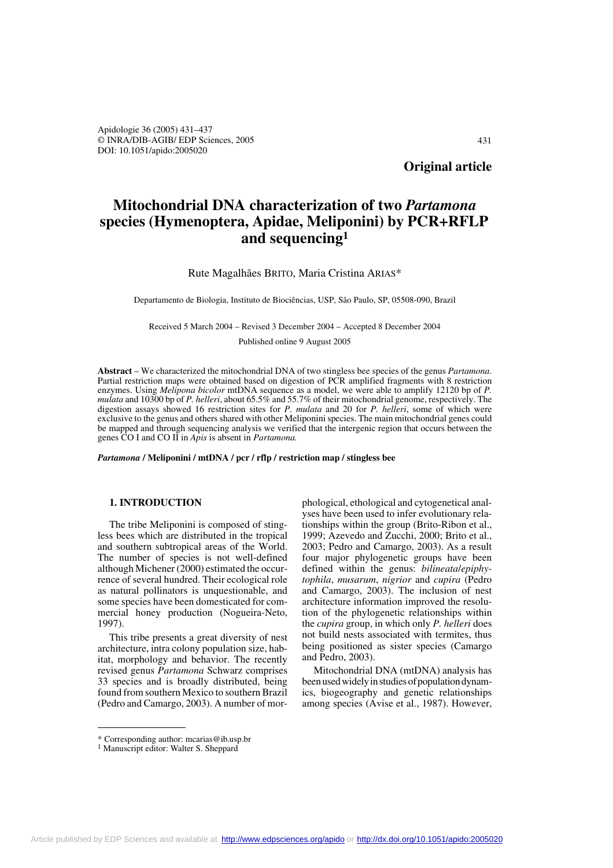Apidologie 36 (2005) 431–437 © INRA/DIB-AGIB/ EDP Sciences, 2005 DOI: 10.1051/apido:2005020

**Original article**

# **Mitochondrial DNA characterization of two** *Partamona* **species (Hymenoptera, Apidae, Meliponini) by PCR+RFLP and sequencing1**

### Rute Magalhães BRITO, Maria Cristina ARIAS\*

Departamento de Biologia, Instituto de Biociências, USP, São Paulo, SP, 05508-090, Brazil

Received 5 March 2004 – Revised 3 December 2004 – Accepted 8 December 2004

Published online 9 August 2005

**Abstract** – We characterized the mitochondrial DNA of two stingless bee species of the genus *Partamona*. Partial restriction maps were obtained based on digestion of PCR amplified fragments with 8 restriction enzymes. Using *Melipona bicolor* mtDNA sequence as a model, we were able to amplify 12120 bp of *P. mulata* and 10300 bp of *P. helleri*, about 65.5% and 55.7% of their mitochondrial genome, respectively. The digestion assays showed 16 restriction sites for *P. mulata* and 20 for *P. helleri*, some of which were exclusive to the genus and others shared with other Meliponini species. The main mitochondrial genes could be mapped and through sequencing analysis we verified that the intergenic region that occurs between the genes CO I and CO II in *Apis* is absent in *Partamona.*

*Partamona* **/ Meliponini / mtDNA / pcr / rflp / restriction map / stingless bee**

## **1. INTRODUCTION**

The tribe Meliponini is composed of stingless bees which are distributed in the tropical and southern subtropical areas of the World. The number of species is not well-defined although Michener (2000) estimated the occurrence of several hundred. Their ecological role as natural pollinators is unquestionable, and some species have been domesticated for commercial honey production (Nogueira-Neto, 1997).

This tribe presents a great diversity of nest architecture, intra colony population size, habitat, morphology and behavior. The recently revised genus *Partamona* Schwarz comprises 33 species and is broadly distributed, being found from southern Mexico to southern Brazil (Pedro and Camargo, 2003). A number of mor-

phological, ethological and cytogenetical analyses have been used to infer evolutionary relationships within the group (Brito-Ribon et al., 1999; Azevedo and Zucchi, 2000; Brito et al., 2003; Pedro and Camargo, 2003). As a result four major phylogenetic groups have been defined within the genus: *bilineata*/*epiphytophila*, *musarum*, *nigrior* and *cupira* (Pedro and Camargo, 2003). The inclusion of nest architecture information improved the resolution of the phylogenetic relationships within the *cupira* group, in which only *P. helleri* does not build nests associated with termites, thus being positioned as sister species (Camargo and Pedro, 2003).

Mitochondrial DNA (mtDNA) analysis has been used widely in studies of population dynamics, biogeography and genetic relationships among species (Avise et al., 1987). However,

<sup>\*</sup> Corresponding author: mcarias@ib.usp.br

<sup>&</sup>lt;sup>1</sup> Manuscript editor: Walter S. Sheppard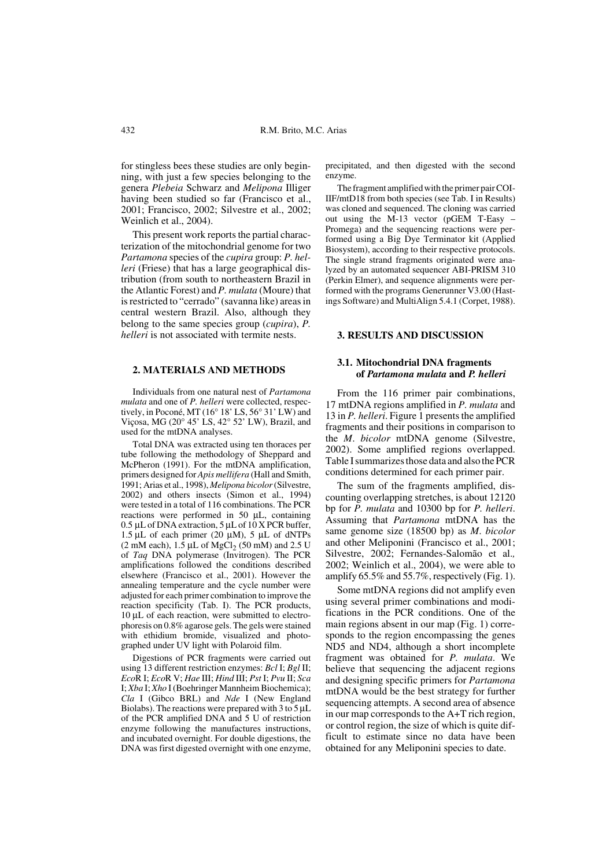for stingless bees these studies are only beginning, with just a few species belonging to the genera *Plebeia* Schwarz and *Melipona* Illiger having been studied so far (Francisco et al., 2001; Francisco, 2002; Silvestre et al., 2002; Weinlich et al., 2004).

This present work reports the partial characterization of the mitochondrial genome for two *Partamona* species of the *cupira* group: *P. helleri* (Friese) that has a large geographical distribution (from south to northeastern Brazil in the Atlantic Forest) and *P. mulata* (Moure) that is restricted to "cerrado" (savanna like) areas in central western Brazil. Also, although they belong to the same species group (*cupira*), *P. helleri* is not associated with termite nests.

#### **2. MATERIALS AND METHODS**

Individuals from one natural nest of *Partamona mulata* and one of *P. helleri* were collected, respectively, in Poconé, MT (16° 18' LS, 56° 31' LW) and Viçosa, MG (20° 45' LS, 42° 52' LW), Brazil, and used for the mtDNA analyses.

Total DNA was extracted using ten thoraces per tube following the methodology of Sheppard and McPheron (1991). For the mtDNA amplification, primers designed for *Apis mellifera* (Hall and Smith, 1991; Arias et al., 1998), *Melipona bicolor* (Silvestre, 2002) and others insects (Simon et al., 1994) were tested in a total of 116 combinations. The PCR reactions were performed in 50 µL, containing 0.5 µL of DNA extraction, 5 µL of 10 X PCR buffer, 1.5  $\mu$ L of each primer (20  $\mu$ M), 5  $\mu$ L of dNTPs (2 mM each),  $1.\overline{5}$  µL of MgCl<sub>2</sub> (50 mM) and 2.5 U of *Taq* DNA polymerase (Invitrogen). The PCR amplifications followed the conditions described elsewhere (Francisco et al., 2001). However the annealing temperature and the cycle number were adjusted for each primer combination to improve the reaction specificity (Tab. I). The PCR products, 10 µL of each reaction, were submitted to electrophoresis on 0.8% agarose gels. The gels were stained with ethidium bromide, visualized and photographed under UV light with Polaroid film.

Digestions of PCR fragments were carried out using 13 different restriction enzymes: *Bcl* I; *Bgl* II; *Eco*R I; *Eco*R V; *Hae* III; *Hind* III; *Pst* I; *Pvu* II; *Sca* I; *Xba* I; *Xho* I (Boehringer Mannheim Biochemica); *Cla* I (Gibco BRL) and *Nde* I (New England Biolabs). The reactions were prepared with  $3 \text{ to } 5 \mu L$ of the PCR amplified DNA and 5 U of restriction enzyme following the manufactures instructions, and incubated overnight. For double digestions, the DNA was first digested overnight with one enzyme,

precipitated, and then digested with the second enzyme.

The fragment amplified with the primer pair COI-IIF/mtD18 from both species (see Tab. I in Results) was cloned and sequenced. The cloning was carried out using the M-13 vector (pGEM T-Easy – Promega) and the sequencing reactions were performed using a Big Dye Terminator kit (Applied Biosystem), according to their respective protocols. The single strand fragments originated were analyzed by an automated sequencer ABI-PRISM 310 (Perkin Elmer), and sequence alignments were performed with the programs Generunner V3.00 (Hastings Software) and MultiAlign 5.4.1 (Corpet, 1988).

### **3. RESULTS AND DISCUSSION**

# **3.1. Mitochondrial DNA fragments of** *Partamona mulata* **and** *P. helleri*

From the 116 primer pair combinations, 17 mtDNA regions amplified in *P. mulata* and 13 in *P. helleri*. Figure 1 presents the amplified fragments and their positions in comparison to the *M*. *bicolor* mtDNA genome (Silvestre, 2002). Some amplified regions overlapped. Table I summarizes those data and also the PCR conditions determined for each primer pair.

The sum of the fragments amplified, discounting overlapping stretches, is about 12120 bp for *P. mulata* and 10300 bp for *P. helleri*. Assuming that *Partamona* mtDNA has the same genome size (18500 bp) as *M*. *bicolor* and other Meliponini (Francisco et al., 2001; Silvestre, 2002; Fernandes-Salomão et al.*,* 2002; Weinlich et al., 2004), we were able to amplify 65.5% and 55.7%, respectively (Fig. 1).

Some mtDNA regions did not amplify even using several primer combinations and modifications in the PCR conditions. One of the main regions absent in our map (Fig. 1) corresponds to the region encompassing the genes ND5 and ND4, although a short incomplete fragment was obtained for *P. mulata*. We believe that sequencing the adjacent regions and designing specific primers for *Partamona* mtDNA would be the best strategy for further sequencing attempts. A second area of absence in our map corresponds to the A+T rich region, or control region, the size of which is quite difficult to estimate since no data have been obtained for any Meliponini species to date.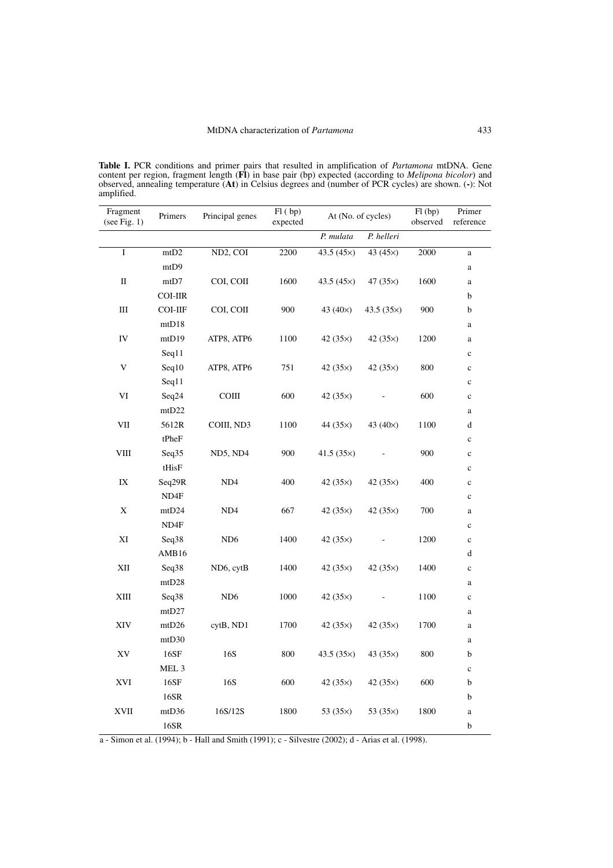**Table I.** PCR conditions and primer pairs that resulted in amplification of *Partamona* mtDNA. Gene content per region, fragment length (**Fl**) in base pair (bp) expected (according to *Melipona bicolor*) and observed, annealing temperature (**At**) in Celsius degrees and (number of PCR cycles) are shown. (**-**): Not amplified.

| Fragment<br>(see Fig. 1) | Primers          | Principal genes | Fl (bp)<br>expected | At (No. of cycles) |              | Fl (bp)<br>observed | Primer<br>reference |
|--------------------------|------------------|-----------------|---------------------|--------------------|--------------|---------------------|---------------------|
|                          |                  |                 |                     | P. mulata          | P. helleri   |                     |                     |
| $\mathbf I$              | mtD <sub>2</sub> | ND2, COI        | 2200                | 43.5 (45×)         | 43 (45×)     | 2000                | $\rm{a}$            |
|                          | mtD9             |                 |                     |                    |              |                     | $\rm{a}$            |
| $\mathbf{I}$             | mtD7             | COI, COII       | 1600                | 43.5 $(45x)$       | 47 $(35x)$   | 1600                | $\rm{a}$            |
|                          | <b>COI-IIR</b>   |                 |                     |                    |              |                     | b                   |
| Ш                        | COI-IIF          | COI, COII       | 900                 | 43 $(40\times)$    | 43.5 $(35x)$ | 900                 | b                   |
|                          | mtD18            |                 |                     |                    |              |                     | $\rm{a}$            |
| IV                       | mtD19            | ATP8, ATP6      | 1100                | 42(35x)            | 42 $(35x)$   | 1200                | $\rm{a}$            |
|                          | Seq11            |                 |                     |                    |              |                     | $\mathbf c$         |
| V                        | Seq10            | ATP8, ATP6      | 751                 | 42 $(35x)$         | 42 $(35x)$   | 800                 | $\mathbf c$         |
|                          | Seq11            |                 |                     |                    |              |                     | $\mathbf c$         |
| VI                       | Seq24            | $_{\rm COIII}$  | 600                 | 42 $(35x)$         |              | 600                 | $\mathbf c$         |
|                          | mtD22            |                 |                     |                    |              |                     | $\rm{a}$            |
| VII                      | 5612R            | COIII, ND3      | 1100                | 44 $(35x)$         | 43 $(40x)$   | 1100                | d                   |
|                          | tPheF            |                 |                     |                    |              |                     | $\mathbf c$         |
| VIII                     | Seq35            | ND5, ND4        | 900                 | 41.5 $(35x)$       |              | 900                 | $\mathbf c$         |
|                          | tHisF            |                 |                     |                    |              |                     | $\mathbf c$         |
| $\it IX$                 | Seq29R           | ND4             | 400                 | 42 $(35x)$         | 42 $(35x)$   | 400                 | $\mathbf c$         |
|                          | ND4F             |                 |                     |                    |              |                     | $\mathbf c$         |
| X                        | mtD24            | ND <sub>4</sub> | 667                 | 42 $(35x)$         | 42 $(35x)$   | 700                 | $\rm{a}$            |
|                          | ND <sub>4F</sub> |                 |                     |                    |              |                     | $\mathbf c$         |
| XI                       | Seq38            | ND <sub>6</sub> | 1400                | 42 $(35x)$         |              | 1200                | $\mathbf c$         |
|                          | AMB16            |                 |                     |                    |              |                     | d                   |
| $\mathbf{X}\mathbf{II}$  | Seq38            | ND6, cytB       | 1400                | 42 $(35x)$         | 42 $(35x)$   | 1400                | $\mathbf c$         |
|                          | mtD28            |                 |                     |                    |              |                     | $\rm{a}$            |
| XIII                     | Seq38            | ND <sub>6</sub> | 1000                | 42(35x)            |              | 1100                | $\mathbf c$         |
|                          | mtD27            |                 |                     |                    |              |                     | $\rm{a}$            |
| XIV                      | mtD26            | cytB, ND1       | 1700                | 42 $(35x)$         | 42 $(35x)$   | 1700                | $\rm{a}$            |
|                          | mtD30            |                 |                     |                    |              |                     | $\rm{a}$            |
| ${\it XV}$               | 16SF             | 16S             | 800                 | 43.5 $(35\times)$  | 43 $(35x)$   | 800                 | b                   |
|                          | MEL <sub>3</sub> |                 |                     |                    |              |                     | $\mathbf c$         |
| XVI                      | 16SF<br>16SR     | 16S             | 600                 | 42(35x)            | 42 (35×)     | 600                 | b<br>$\mathbf b$    |
| <b>XVII</b>              | mtD36            | 16S/12S         | 1800                | 53 $(35x)$         | 53 $(35x)$   | 1800                | $\rm{a}$            |
|                          | 16SR             |                 |                     |                    |              |                     | $\mathbf b$         |
|                          |                  |                 |                     |                    |              |                     |                     |

a - Simon et al. (1994); b - Hall and Smith (1991); c - Silvestre (2002); d - Arias et al. (1998).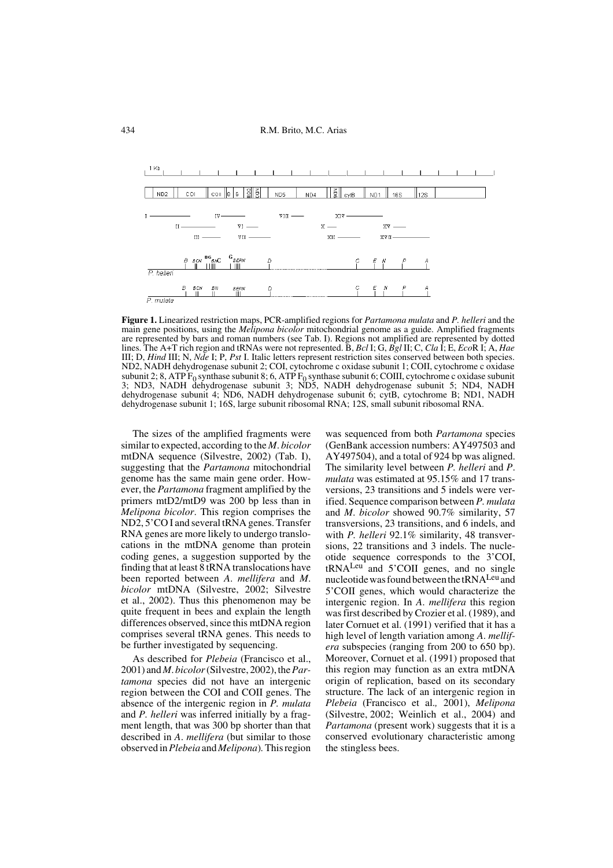# 434 R.M. Brito, M.C. Arias



**Figure 1.** Linearized restriction maps, PCR-amplified regions for *Partamona mulata* and *P. helleri* and the main gene positions, using the *Melipona bicolor* mitochondrial genome as a guide. Amplified fragments are represented by bars and roman numbers (see Tab. I). Regions not amplified are represented by dotted lines. The A+T rich region and tRNAs were not represented. B, *Bcl* I; G, *Bgl* II; C, *Cla* I; E, *Eco*R I; A, *Hae* III; D, *Hind* III; N, *Nde* I; P, *Pst* I. Italic letters represent restriction sites conserved between both species. ND2, NADH dehydrogenase subunit 2; COI, cytochrome c oxidase subunit 1; COII, cytochrome c oxidase subunit 2; 8, ATP F<sub>0</sub> synthase subunit 8; 6, ATP F<sub>0</sub> synthase subunit 6; COIII, cytochrome c oxidase subunit 3; ND3, NADH dehydrogenase subunit 3; ND4, NADH dehydrogenase subunit 4; ND6, NADH dehydrogenase subunit 6; cytB, cytochrome B; ND1, NADH dehydrogenase subunit 1; 16S, large subunit ribosomal RNA; 12S, small subunit ribosomal RNA.

The sizes of the amplified fragments were similar to expected, according to the *M*. *bicolor* mtDNA sequence (Silvestre, 2002) (Tab. I), suggesting that the *Partamona* mitochondrial genome has the same main gene order. However, the *Partamona* fragment amplified by the primers mtD2/mtD9 was 200 bp less than in *Melipona bicolor*. This region comprises the ND2, 5'CO I and several tRNA genes. Transfer RNA genes are more likely to undergo translocations in the mtDNA genome than protein coding genes, a suggestion supported by the finding that at least 8 tRNA translocations have been reported between *A*. *mellifera* and *M*. *bicolor* mtDNA (Silvestre, 2002; Silvestre et al., 2002). Thus this phenomenon may be quite frequent in bees and explain the length differences observed, since this mtDNA region comprises several tRNA genes. This needs to be further investigated by sequencing.

As described for *Plebeia* (Francisco et al., 2001) and *M*. *bicolor* (Silvestre, 2002), the *Partamona* species did not have an intergenic region between the COI and COII genes. The absence of the intergenic region in *P. mulata* and *P. helleri* was inferred initially by a fragment length, that was 300 bp shorter than that described in *A*. *mellifera* (but similar to those observed in *Plebeia* and *Melipona*)*.* This region

was sequenced from both *Partamona* species (GenBank accession numbers: AY497503 and AY497504), and a total of 924 bp was aligned. The similarity level between *P. helleri* and *P*. *mulata* was estimated at 95.15% and 17 transversions, 23 transitions and 5 indels were verified. Sequence comparison between *P. mulata* and *M*. *bicolor* showed 90.7% similarity, 57 transversions, 23 transitions, and 6 indels, and with *P. helleri* 92.1% similarity, 48 transversions, 22 transitions and 3 indels. The nucleotide sequence corresponds to the 3'COI, tRNA<sup>Leu</sup> and 5'COII genes, and no single nucleotide was found between the tRNALeu and 5'COII genes, which would characterize the intergenic region. In *A*. *mellifera* this region was first described by Crozier et al. (1989), and later Cornuet et al. (1991) verified that it has a high level of length variation among *A*. *mellifera* subspecies (ranging from 200 to 650 bp). Moreover, Cornuet et al. (1991) proposed that this region may function as an extra mtDNA origin of replication, based on its secondary structure. The lack of an intergenic region in *Plebeia* (Francisco et al.*,* 2001), *Melipona* (Silvestre, 2002; Weinlich et al., 2004) and *Partamona* (present work) suggests that it is a conserved evolutionary characteristic among the stingless bees.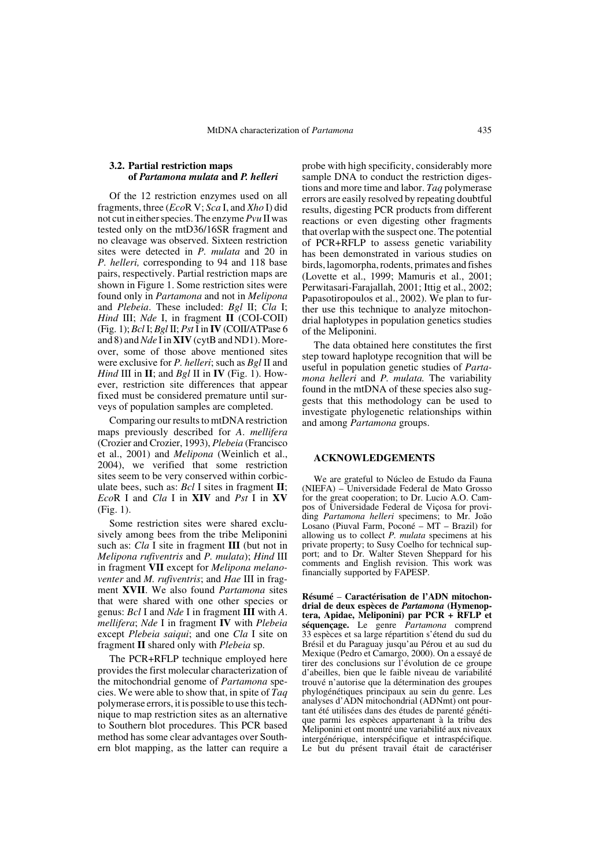# **3.2. Partial restriction maps of** *Partamona mulata* **and** *P. helleri*

Of the 12 restriction enzymes used on all fragments, three (*Eco*R V; *Sca* I, and *Xho* I) did not cut in either species. The enzyme *Pvu* II was tested only on the mtD36/16SR fragment and no cleavage was observed. Sixteen restriction sites were detected in *P. mulata* and 20 in *P. helleri,* corresponding to 94 and 118 base pairs, respectively. Partial restriction maps are shown in Figure 1. Some restriction sites were found only in *Partamona* and not in *Melipona* and *Plebeia*. These included: *Bgl* II; *Cla* I; *Hind* III; *Nde* I, in fragment **II** (COI-COII) (Fig. 1); *Bcl* I; *Bgl* II; *Pst* I in **IV** (COII/ATPase 6 and 8) and *Nde* I in **XIV** (cytB and ND1). Moreover, some of those above mentioned sites were exclusive for *P. helleri*; such as *Bgl* II and *Hind* III in **II**; and *Bgl* II in **IV** (Fig. 1). However, restriction site differences that appear fixed must be considered premature until surveys of population samples are completed.

Comparing our results to mtDNA restriction maps previously described for *A*. *mellifera* (Crozier and Crozier, 1993), *Plebeia* (Francisco et al., 2001) and *Melipona* (Weinlich et al., 2004), we verified that some restriction sites seem to be very conserved within corbiculate bees, such as: *Bcl* I sites in fragment **II**; *Eco*R I and *Cla* I in **XIV** and *Pst* I in **XV** (Fig. 1).

Some restriction sites were shared exclusively among bees from the tribe Meliponini such as: *Cla* I site in fragment **III** (but not in *Melipona rufiventris* and *P. mulata*); *Hind* III in fragment **VII** except for *Melipona melanoventer* and *M. rufiventris*; and *Hae* III in fragment **XVII**. We also found *Partamona* sites that were shared with one other species or genus: *Bcl* I and *Nde* I in fragment **III** with *A*. *mellifera*; *Nde* I in fragment **IV** with *Plebeia* except *Plebeia saiqui*; and one *Cla* I site on fragment **II** shared only with *Plebeia* sp.

The PCR+RFLP technique employed here provides the first molecular characterization of the mitochondrial genome of *Partamona* species. We were able to show that, in spite of *Taq* polymerase errors, it is possible to use this technique to map restriction sites as an alternative to Southern blot procedures. This PCR based method has some clear advantages over Southern blot mapping, as the latter can require a

probe with high specificity, considerably more sample DNA to conduct the restriction digestions and more time and labor. *Taq* polymerase errors are easily resolved by repeating doubtful results, digesting PCR products from different reactions or even digesting other fragments that overlap with the suspect one. The potential of PCR+RFLP to assess genetic variability has been demonstrated in various studies on birds, lagomorpha, rodents, primates and fishes (Lovette et al., 1999; Mamuris et al., 2001; Perwitasari-Farajallah, 2001; Ittig et al., 2002; Papasotiropoulos et al., 2002). We plan to further use this technique to analyze mitochondrial haplotypes in population genetics studies of the Meliponini.

The data obtained here constitutes the first step toward haplotype recognition that will be useful in population genetic studies of *Partamona helleri* and *P. mulata.* The variability found in the mtDNA of these species also suggests that this methodology can be used to investigate phylogenetic relationships within and among *Partamona* groups.

# **ACKNOWLEDGEMENTS**

We are grateful to Núcleo de Estudo da Fauna (NIEFA) – Universidade Federal de Mato Grosso for the great cooperation; to Dr. Lucio A.O. Campos of Universidade Federal de Viçosa for providing *Partamona helleri* specimens; to Mr. João Losano (Piuval Farm, Poconé – MT – Brazil) for allowing us to collect *P. mulata* specimens at his private property; to Susy Coelho for technical support; and to Dr. Walter Steven Sheppard for his comments and English revision. This work was financially supported by FAPESP.

**Résumé** – **Caractérisation de l'ADN mitochondrial de deux espèces de** *Partamona* **(Hymenoptera, Apidae, Meliponini) par PCR + RFLP et séquençage.** Le genre *Partamona* comprend 33 espèces et sa large répartition s'étend du sud du Brésil et du Paraguay jusqu'au Pérou et au sud du Mexique (Pedro et Camargo, 2000). On a essayé de tirer des conclusions sur l'évolution de ce groupe d'abeilles, bien que le faible niveau de variabilité trouvé n'autorise que la détermination des groupes phylogénétiques principaux au sein du genre. Les analyses d'ADN mitochondrial (ADNmt) ont pourtant été utilisées dans des études de parenté génétique parmi les espèces appartenant à la tribu des Meliponini et ont montré une variabilité aux niveaux intergénérique, interspécifique et intraspécifique. Le but du présent travail était de caractériser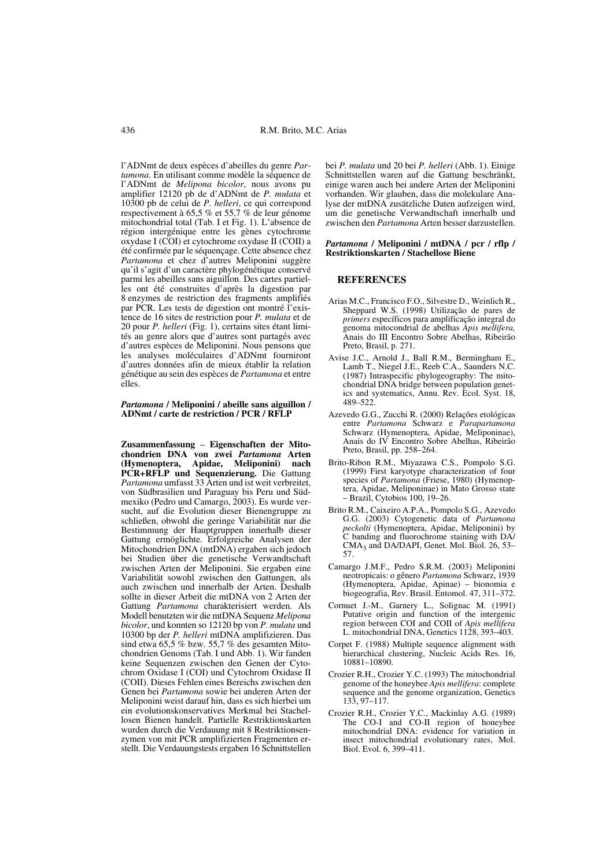l'ADNmt de deux espèces d'abeilles du genre *Partamona*. En utilisant comme modèle la séquence de l'ADNmt de *Melipona bicolor*, nous avons pu amplifier 12120 pb de d'ADNmt de *P. mulata* et 10300 pb de celui de *P. helleri*, ce qui correspond respectivement à 65,5 % et 55,7 % de leur génome mitochondrial total (Tab. I et Fig. 1). L'absence de région intergénique entre les gènes cytochrome oxydase I (COI) et cytochrome oxydase II (COII) a été confirmée par le séquençage. Cette absence chez *Partamona* et chez d'autres Meliponini suggère qu'il s'agit d'un caractère phylogénétique conservé parmi les abeilles sans aiguillon. Des cartes partielles ont été construites d'après la digestion par 8 enzymes de restriction des fragments amplifiés par PCR. Les tests de digestion ont montré l'existence de 16 sites de restriction pour *P. mulata* et de 20 pour *P. helleri* (Fig. 1), certains sites étant limités au genre alors que d'autres sont partagés avec d'autres espèces de Meliponini. Nous pensons que les analyses moléculaires d'ADNmt fourniront d'autres données afin de mieux établir la relation génétique au sein des espèces de *Partamona* et entre elles.

#### *Partamona* **/ Meliponini / abeille sans aiguillon / ADNmt / carte de restriction / PCR / RFLP**

**Zusammenfassung** – **Eigenschaften der Mitochondrien DNA von zwei** *Partamona* **Arten (Hymenoptera, Apidae, Meliponini) nach PCR+RFLP und Sequenzierung.** Die Gattung *Partamona* umfasst 33 Arten und ist weit verbreitet, von Südbrasilien und Paraguay bis Peru und Südmexiko (Pedro und Camargo, 2003). Es wurde versucht, auf die Evolution dieser Bienengruppe zu schließen, obwohl die geringe Variabilität nur die Bestimmung der Hauptgruppen innerhalb dieser Gattung ermöglichte. Erfolgreiche Analysen der Mitochondrien DNA (mtDNA) ergaben sich jedoch bei Studien über die genetische Verwandtschaft zwischen Arten der Meliponini. Sie ergaben eine Variabilität sowohl zwischen den Gattungen, als auch zwischen und innerhalb der Arten. Deshalb sollte in dieser Arbeit die mtDNA von 2 Arten der Gattung *Partamona* charakterisiert werden. Als Modell benutzten wir die mtDNA Sequenz *Melipona bicolor*, und konnten so 12120 bp von *P. mulata* und 10300 bp der *P. helleri* mtDNA amplifizieren. Das sind etwa 65,5 % bzw. 55,7 % des gesamten Mitochondrien Genoms (Tab. I und Abb. 1). Wir fanden keine Sequenzen zwischen den Genen der Cytochrom Oxidase I (COI) und Cytochrom Oxidase II (COII). Dieses Fehlen eines Bereichs zwischen den Genen bei *Partamona* sowie bei anderen Arten der Meliponini weist darauf hin, dass es sich hierbei um ein evolutionskonservatives Merkmal bei Stachellosen Bienen handelt. Partielle Restriktionskarten wurden durch die Verdauung mit 8 Restriktionsenzymen von mit PCR amplifizierten Fragmenten erstellt. Die Verdauungstests ergaben 16 Schnittstellen bei *P. mulata* und 20 bei *P. helleri* (Abb. 1). Einige Schnittstellen waren auf die Gattung beschränkt, einige waren auch bei andere Arten der Meliponini vorhanden. Wir glauben, dass die molekulare Analyse der mtDNA zusätzliche Daten aufzeigen wird, um die genetische Verwandtschaft innerhalb und zwischen den *Partamona* Arten besser darzustellen.

#### *Partamona* **/ Meliponini / mtDNA / pcr / rflp / Restriktionskarten / Stachellose Biene**

#### **REFERENCES**

- Arias M.C., Francisco F.O., Silvestre D., Weinlich R., Sheppard W.S. (1998) Utilização de pares de *primers* específicos para amplificação integral do genoma mitocondrial de abelhas *Apis mellifera,* Anais do III Encontro Sobre Abelhas, Ribeirão Preto, Brasil, p. 271.
- Avise J.C., Arnold J., Ball R.M., Bermingham E., Lamb T., Niegel J.E., Reeb C.A., Saunders N.C. (1987) Intraspecific phylogeography: The mitochondrial DNA bridge between population genetics and systematics, Annu. Rev. Ecol. Syst. 18, 489–522.
- Azevedo G.G., Zucchi R. (2000) Relações etológicas entre *Partamona* Schwarz e *Parapartamona* Schwarz (Hymenoptera, Apidae, Meliponinae), Anais do IV Encontro Sobre Abelhas, Ribeirão Preto, Brasil, pp. 258–264.
- Brito-Ribon R.M., Miyazawa C.S., Pompolo S.G. (1999) First karyotype characterization of four species of *Partamona* (Friese, 1980) (Hymenoptera, Apidae, Meliponinae) in Mato Grosso state – Brazil, Cytobios 100, 19–26.
- Brito R.M., Caixeiro A.P.A., Pompolo S.G., Azevedo G.G. (2003) Cytogenetic data of *Partamona peckolti* (Hymenoptera, Apidae, Meliponini) by C banding and fluorochrome staining with DA/  $CMA<sub>3</sub>$  and DA/DAPI, Genet. Mol. Biol. 26, 53– 57.
- Camargo J.M.F., Pedro S.R.M. (2003) Meliponini neotropicais: o gênero *Partamona* Schwarz, 1939 (Hymenoptera, Apidae, Apinae) – bionomia e biogeografia, Rev. Brasil. Entomol. 47, 311–372.
- Cornuet J.-M., Garnery L., Solignac M. (1991) Putative origin and function of the intergenic region between COI and COII of *Apis mellifera* L. mitochondrial DNA, Genetics 1128, 393–403.
- Corpet F. (1988) Multiple sequence alignment with hierarchical clustering, Nucleic Acids Res. 16, 10881–10890.
- Crozier R.H., Crozier Y.C. (1993) The mitochondrial genome of the honeybee *Apis mellifera*: complete sequence and the genome organization, Genetics 133, 97–117.
- Crozier R.H., Crozier Y.C., Mackinlay A.G. (1989) The CO-I and CO-II region of honeybee mitochondrial DNA: evidence for variation in insect mitochondrial evolutionary rates, Mol. Biol. Evol. 6, 399–411.